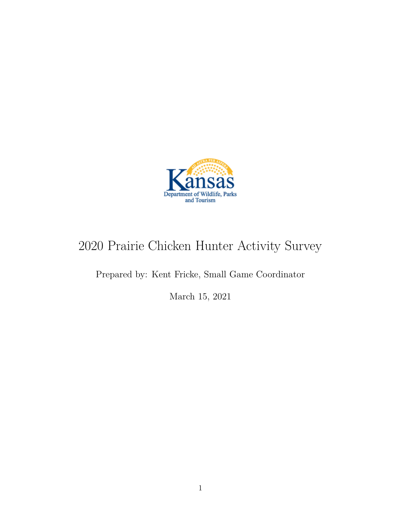

# 2020 Prairie Chicken Hunter Activity Survey

Prepared by: Kent Fricke, Small Game Coordinator

March 15, 2021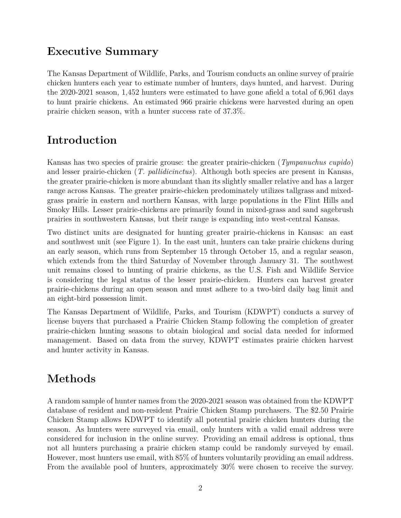### **Executive Summary**

The Kansas Department of Wildlife, Parks, and Tourism conducts an online survey of prairie chicken hunters each year to estimate number of hunters, days hunted, and harvest. During the 2020-2021 season, 1,452 hunters were estimated to have gone afield a total of 6,961 days to hunt prairie chickens. An estimated 966 prairie chickens were harvested during an open prairie chicken season, with a hunter success rate of 37.3%.

# **Introduction**

Kansas has two species of prairie grouse: the greater prairie-chicken (*Tympanuchus cupido*) and lesser prairie-chicken (*T. pallidicinctus*). Although both species are present in Kansas, the greater prairie-chicken is more abundant than its slightly smaller relative and has a larger range across Kansas. The greater prairie-chicken predominately utilizes tallgrass and mixedgrass prairie in eastern and northern Kansas, with large populations in the Flint Hills and Smoky Hills. Lesser prairie-chickens are primarily found in mixed-grass and sand sagebrush prairies in southwestern Kansas, but their range is expanding into west-central Kansas.

Two distinct units are designated for hunting greater prairie-chickens in Kansas: an east and southwest unit (see Figure 1). In the east unit, hunters can take prairie chickens during an early season, which runs from September 15 through October 15, and a regular season, which extends from the third Saturday of November through January 31. The southwest unit remains closed to hunting of prairie chickens, as the U.S. Fish and Wildlife Service is considering the legal status of the lesser prairie-chicken. Hunters can harvest greater prairie-chickens during an open season and must adhere to a two-bird daily bag limit and an eight-bird possession limit.

The Kansas Department of Wildlife, Parks, and Tourism (KDWPT) conducts a survey of license buyers that purchased a Prairie Chicken Stamp following the completion of greater prairie-chicken hunting seasons to obtain biological and social data needed for informed management. Based on data from the survey, KDWPT estimates prairie chicken harvest and hunter activity in Kansas.

## **Methods**

A random sample of hunter names from the 2020-2021 season was obtained from the KDWPT database of resident and non-resident Prairie Chicken Stamp purchasers. The \$2.50 Prairie Chicken Stamp allows KDWPT to identify all potential prairie chicken hunters during the season. As hunters were surveyed via email, only hunters with a valid email address were considered for inclusion in the online survey. Providing an email address is optional, thus not all hunters purchasing a prairie chicken stamp could be randomly surveyed by email. However, most hunters use email, with 85% of hunters voluntarily providing an email address. From the available pool of hunters, approximately 30% were chosen to receive the survey.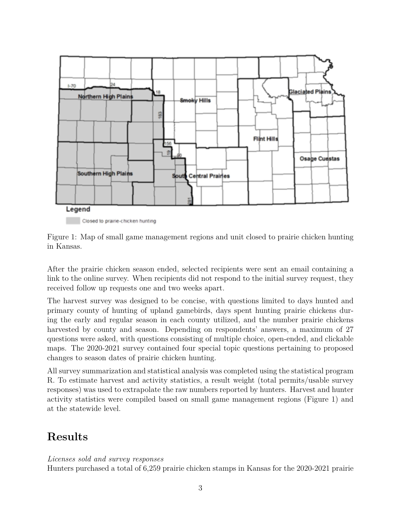

Closed to prairie-chicken hunting

Figure 1: Map of small game management regions and unit closed to prairie chicken hunting in Kansas.

After the prairie chicken season ended, selected recipients were sent an email containing a link to the online survey. When recipients did not respond to the initial survey request, they received follow up requests one and two weeks apart.

The harvest survey was designed to be concise, with questions limited to days hunted and primary county of hunting of upland gamebirds, days spent hunting prairie chickens during the early and regular season in each county utilized, and the number prairie chickens harvested by county and season. Depending on respondents' answers, a maximum of 27 questions were asked, with questions consisting of multiple choice, open-ended, and clickable maps. The 2020-2021 survey contained four special topic questions pertaining to proposed changes to season dates of prairie chicken hunting.

All survey summarization and statistical analysis was completed using the statistical program R. To estimate harvest and activity statistics, a result weight (total permits/usable survey responses) was used to extrapolate the raw numbers reported by hunters. Harvest and hunter activity statistics were compiled based on small game management regions (Figure 1) and at the statewide level.

## **Results**

#### *Licenses sold and survey responses*

Hunters purchased a total of 6,259 prairie chicken stamps in Kansas for the 2020-2021 prairie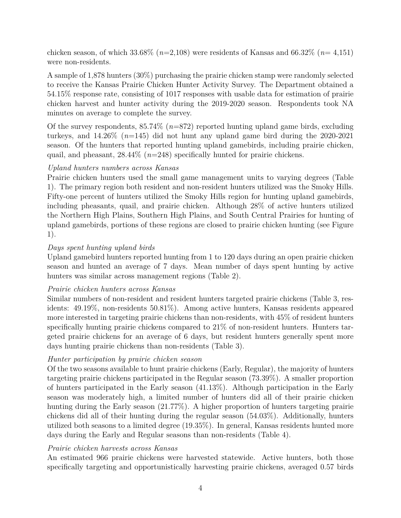chicken season, of which 33.68% (*n*=2,108) were residents of Kansas and 66.32% (*n*= 4,151) were non-residents.

A sample of 1,878 hunters (30%) purchasing the prairie chicken stamp were randomly selected to receive the Kansas Prairie Chicken Hunter Activity Survey. The Department obtained a 54.15% response rate, consisting of 1017 responses with usable data for estimation of prairie chicken harvest and hunter activity during the 2019-2020 season. Respondents took NA minutes on average to complete the survey.

Of the survey respondents, 85.74% (*n*=872) reported hunting upland game birds, excluding turkeys, and 14.26% (*n*=145) did not hunt any upland game bird during the 2020-2021 season. Of the hunters that reported hunting upland gamebirds, including prairie chicken, quail, and pheasant, 28.44% (*n*=248) specifically hunted for prairie chickens.

#### *Upland hunters numbers across Kansas*

Prairie chicken hunters used the small game management units to varying degrees (Table 1). The primary region both resident and non-resident hunters utilized was the Smoky Hills. Fifty-one percent of hunters utilized the Smoky Hills region for hunting upland gamebirds, including pheasants, quail, and prairie chicken. Although 28% of active hunters utilized the Northern High Plains, Southern High Plains, and South Central Prairies for hunting of upland gamebirds, portions of these regions are closed to prairie chicken hunting (see Figure 1).

#### *Days spent hunting upland birds*

Upland gamebird hunters reported hunting from 1 to 120 days during an open prairie chicken season and hunted an average of 7 days. Mean number of days spent hunting by active hunters was similar across management regions (Table 2).

#### *Prairie chicken hunters across Kansas*

Similar numbers of non-resident and resident hunters targeted prairie chickens (Table 3, residents: 49.19%, non-residents 50.81%). Among active hunters, Kansas residents appeared more interested in targeting prairie chickens than non-residents, with 45% of resident hunters specifically hunting prairie chickens compared to 21% of non-resident hunters. Hunters targeted prairie chickens for an average of 6 days, but resident hunters generally spent more days hunting prairie chickens than non-residents (Table 3).

#### *Hunter participation by prairie chicken season*

Of the two seasons available to hunt prairie chickens (Early, Regular), the majority of hunters targeting prairie chickens participated in the Regular season (73.39%). A smaller proportion of hunters participated in the Early season (41.13%). Although participation in the Early season was moderately high, a limited number of hunters did all of their prairie chicken hunting during the Early season (21.77%). A higher proportion of hunters targeting prairie chickens did all of their hunting during the regular season (54.03%). Additionally, hunters utilized both seasons to a limited degree (19.35%). In general, Kansas residents hunted more days during the Early and Regular seasons than non-residents (Table 4).

#### *Prairie chicken harvests across Kansas*

An estimated 966 prairie chickens were harvested statewide. Active hunters, both those specifically targeting and opportunistically harvesting prairie chickens, averaged 0.57 birds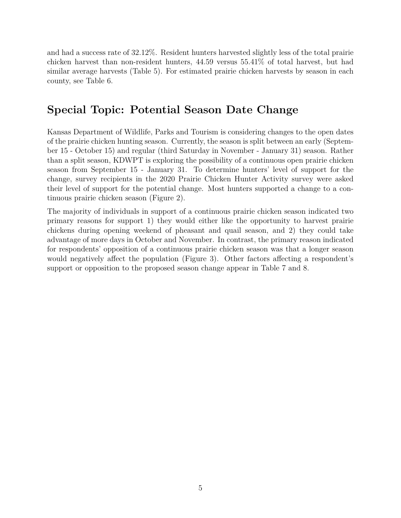and had a success rate of 32.12%. Resident hunters harvested slightly less of the total prairie chicken harvest than non-resident hunters, 44.59 versus 55.41% of total harvest, but had similar average harvests (Table 5). For estimated prairie chicken harvests by season in each county, see Table 6.

### **Special Topic: Potential Season Date Change**

Kansas Department of Wildlife, Parks and Tourism is considering changes to the open dates of the prairie chicken hunting season. Currently, the season is split between an early (September 15 - October 15) and regular (third Saturday in November - January 31) season. Rather than a split season, KDWPT is exploring the possibility of a continuous open prairie chicken season from September 15 - January 31. To determine hunters' level of support for the change, survey recipients in the 2020 Prairie Chicken Hunter Activity survey were asked their level of support for the potential change. Most hunters supported a change to a continuous prairie chicken season (Figure 2).

The majority of individuals in support of a continuous prairie chicken season indicated two primary reasons for support 1) they would either like the opportunity to harvest prairie chickens during opening weekend of pheasant and quail season, and 2) they could take advantage of more days in October and November. In contrast, the primary reason indicated for respondents' opposition of a continuous prairie chicken season was that a longer season would negatively affect the population (Figure 3). Other factors affecting a respondent's support or opposition to the proposed season change appear in Table 7 and 8.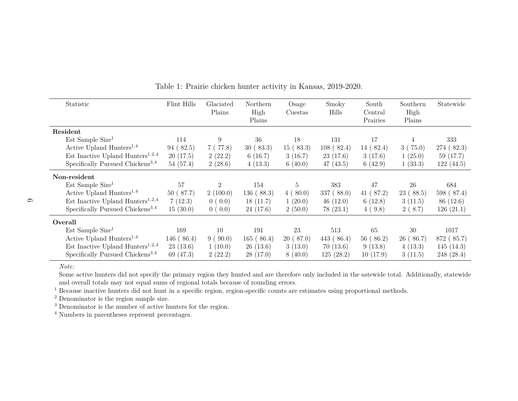| Statistic                                    | Flint Hills | Glaciated<br>Plains | Northern<br>High<br>Plains | Osage<br>Cuestas | Smoky<br>Hills | South<br>Central<br>Prairies | Southern<br>High<br>Plains | Statewide  |
|----------------------------------------------|-------------|---------------------|----------------------------|------------------|----------------|------------------------------|----------------------------|------------|
| Resident                                     |             |                     |                            |                  |                |                              |                            |            |
| $Est$ Sample Size <sup>1</sup>               | 114         | 9                   | 36                         | 18               | 131            | 17                           | 4                          | 333        |
| Active Upland Hunters <sup>1,4</sup>         | 94(82.5)    | 7(77.8)             | 30(83.3)                   | 15(83.3)         | 108(82.4)      | 14(82.4)                     | 3(75.0)                    | 274(82.3)  |
| Est Inactive Upland Hunters <sup>1,2,4</sup> | 20(17.5)    | 2(22.2)             | 6(16.7)                    | 3(16.7)          | 23(17.6)       | 3(17.6)                      | 1(25.0)                    | 59 (17.7)  |
| Specifically Pursued Chickens <sup>3,4</sup> | 54(57.4)    | 2(28.6)             | 4(13.3)                    | 6(40.0)          | 47(43.5)       | 6(42.9)                      | 1(33.3)                    | 122(44.5)  |
| Non-resident                                 |             |                     |                            |                  |                |                              |                            |            |
| $Est$ Sample Size <sup>1</sup>               | 57          | $\overline{2}$      | 154                        | 5                | 383            | 47                           | 26                         | 684        |
| Active Upland Hunters <sup>1,4</sup>         | 50(87.7)    | 2(100.0)            | 136(88.3)                  | 4(80.0)          | 337(88.0)      | 41(87.2)                     | 23(88.5)                   | 598 (87.4) |
| Est Inactive Upland Hunters <sup>1,2,4</sup> | 7(12.3)     | 0(0.0)              | 18(11.7)                   | 1(20.0)          | 46(12.0)       | 6(12.8)                      | 3(11.5)                    | 86 (12.6)  |
| Specifically Pursued Chickens <sup>3,4</sup> | 15(30.0)    | 0(0.0)              | 24(17.6)                   | 2(50.0)          | 78(23.1)       | 4(9.8)                       | 2(8.7)                     | 126(21.1)  |
| Overall                                      |             |                     |                            |                  |                |                              |                            |            |
| Est Sample Size <sup>1</sup>                 | 169         | 10                  | 191                        | 23               | 513            | 65                           | 30                         | 1017       |
| Active Upland Hunters <sup>1,4</sup>         | 146(86.4)   | 9(90.0)             | 165(86.4)                  | 20(87.0)         | 443(86.4)      | 56(86.2)                     | 26(86.7)                   | 872 (85.7) |
| Est Inactive Upland Hunters <sup>1,2,4</sup> | 23(13.6)    | 1(10.0)             | 26(13.6)                   | 3(13.0)          | 70(13.6)       | 9(13.8)                      | 4(13.3)                    | 145(14.3)  |
| Specifically Pursued Chickens <sup>3,4</sup> | 69 (47.3)   | 2(22.2)             | 28(17.0)                   | 8(40.0)          | 125(28.2)      | 10(17.9)                     | 3(11.5)                    | 248(28.4)  |

Table 1: Prairie chicken hunter activity in Kansas, 2019-2020.

 Some active hunters did not specify the primary region they hunted and are therefore only included in the satewide total. Additionally, statewideand overall totals may not equal sums of regional totals because of rounding errors.

<sup>1</sup> Because inactive hunters did not hunt in a specific region, region-specific counts are estimates using proportional methods.

<sup>2</sup> Denominator is the region sample size.

<sup>3</sup> Denominator is the number of active hunters for the region.

<sup>4</sup> Numbers in parentheses represent percentages.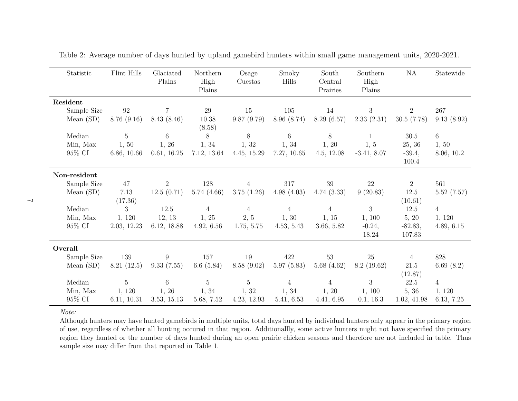| Statistic    | Flint Hills       | Glaciated      | Northern        | Osage           | Smoky          | South               | Southern       | NA             | Statewide      |
|--------------|-------------------|----------------|-----------------|-----------------|----------------|---------------------|----------------|----------------|----------------|
|              |                   | Plains         | High<br>Plains  | Cuestas         | Hills          | Central<br>Prairies | High<br>Plains |                |                |
| Resident     |                   |                |                 |                 |                |                     |                |                |                |
| Sample Size  | $\boldsymbol{92}$ | $\overline{7}$ | 29              | 15              | 105            | 14                  | 3              | $\overline{2}$ | 267            |
| Mean $(SD)$  | 8.76(9.16)        | 8.43(8.46)     | 10.38<br>(8.58) | 9.87(9.79)      | 8.96(8.74)     | 8.29(6.57)          | 2.33(2.31)     | 30.5(7.78)     | 9.13(8.92)     |
| Median       | $\overline{5}$    | 6              | 8               | 8               | 6              | 8                   | 1              | 30.5           | 6              |
| Min, Max     | 1, 50             | 1, 26          | 1, 34           | 1, 32           | 1, 34          | 1, 20               | 1, 5           | 25, 36         | 1, 50          |
| 95% CI       | 6.86, 10.66       | 0.61, 16.25    | 7.12, 13.64     | 4.45, 15.29     | 7.27, 10.65    | 4.5, 12.08          | $-3.41, 8.07$  | $-39.4,$       | 8.06, 10.2     |
|              |                   |                |                 |                 |                |                     |                | 100.4          |                |
| Non-resident |                   |                |                 |                 |                |                     |                |                |                |
| Sample Size  | 47                | $\overline{2}$ | 128             | $\overline{4}$  | 317            | 39                  | 22             | $\overline{2}$ | 561            |
| Mean $(SD)$  | 7.13              | 12.5(0.71)     | 5.74(4.66)      | 3.75(1.26)      | 4.98(4.03)     | 4.74(3.33)          | 9(20.83)       | 12.5           | 5.52(7.57)     |
|              | (17.36)           |                |                 |                 |                |                     |                | (10.61)        |                |
| Median       | 3                 | 12.5           | $\overline{4}$  | $\overline{4}$  | $\overline{4}$ | $\overline{4}$      | 3              | 12.5           | $\overline{4}$ |
| Min, Max     | 1, 120            | 12, 13         | 1, 25           | 2, 5            | 1, 30          | 1, 15               | 1, 100         | 5, 20          | 1, 120         |
| 95% CI       | 2.03, 12.23       | 6.12, 18.88    | 4.92, 6.56      | 1.75, 5.75      | 4.53, 5.43     | 3.66, 5.82          | $-0.24,$       | $-82.83,$      | 4.89, 6.15     |
|              |                   |                |                 |                 |                |                     | 18.24          | 107.83         |                |
| Overall      |                   |                |                 |                 |                |                     |                |                |                |
| Sample Size  | 139               | 9              | 157             | 19              | 422            | 53                  | 25             | 4              | 828            |
| Mean $(SD)$  | 8.21(12.5)        | 9.33(7.55)     | 6.6 $(5.84)$    | 8.58(9.02)      | 5.97(5.83)     | 5.68(4.62)          | 8.2(19.62)     | $21.5\,$       | 6.69 $(8.2)$   |
|              |                   |                |                 |                 |                |                     |                | (12.87)        |                |
| Median       | $5\phantom{.0}$   | 6              | $\bf 5$         | $5\overline{)}$ | $\overline{4}$ | $\overline{4}$      | 3              | 22.5           | $\overline{4}$ |
| Min, Max     | 1, 120            | 1, 26          | 1, 34           | 1, 32           | 1, 34          | 1, 20               | 1, 100         | 5, 36          | 1, 120         |
| 95% CI       | 6.11, 10.31       | 3.53, 15.13    | 5.68, 7.52      | 4.23, 12.93     | 5.41, 6.53     | 4.41, 6.95          | 0.1, 16.3      | 1.02, 41.98    | 6.13, 7.25     |

Table 2: Average number of days hunted by upland gamebird hunters within small game management units, 2020-2021.

 Although hunters may have hunted gamebirds in multiple units, total days hunted by individual hunters only appear in the primary region of use, regardless of whether all hunting occured in that region. Additionallly, some active hunters might not have specified the primary region they hunted or the number of days hunted during an open prairie chicken seasons and therefore are not included in table. Thussample size may differ from that reported in Table 1.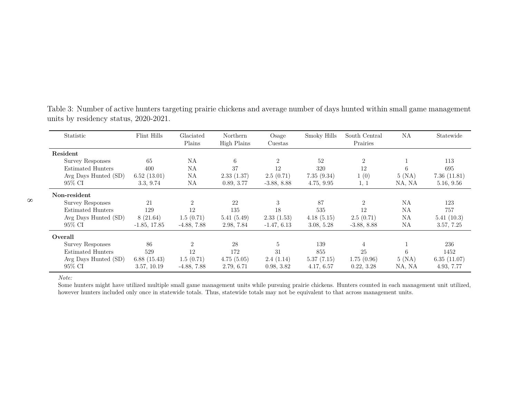| Statistic                | Flint Hills    | Glaciated<br>Plains | Northern<br>High Plains | Osage<br>Cuestas | Smoky Hills | South Central<br>Prairies   | NA     | Statewide   |
|--------------------------|----------------|---------------------|-------------------------|------------------|-------------|-----------------------------|--------|-------------|
| Resident                 |                |                     |                         |                  |             |                             |        |             |
| <b>Survey Responses</b>  | 65             | ΝA                  | 6                       | 2                | 52          | $\overline{2}$              |        | 113         |
| <b>Estimated Hunters</b> | 400            | ΝA                  | 37                      | 12               | 320         | 12                          | 6      | 695         |
| Avg Days Hunted (SD)     | 6.52(13.01)    | ΝA                  | 2.33(1.37)              | 2.5(0.71)        | 7.35(9.34)  | 1(0)                        | 5(NA)  | 7.36(11.81) |
| 95% CI                   | 3.3, 9.74      | NA                  | 0.89, 3.77              | $-3.88, 8.88$    | 4.75, 9.95  | 1, 1                        | NA, NA | 5.16, 9.56  |
| Non-resident             |                |                     |                         |                  |             |                             |        |             |
| <b>Survey Responses</b>  | 21             | $\overline{2}$      | 22                      | 3                | 87          | $\mathcal{D}_{\mathcal{L}}$ | NA     | 123         |
| <b>Estimated Hunters</b> | 129            | 12                  | 135                     | 18               | 535         | 12                          | NA     | 757         |
| Avg Days Hunted (SD)     | 8(21.64)       | 1.5(0.71)           | 5.41(5.49)              | 2.33(1.53)       | 4.18(5.15)  | 2.5(0.71)                   | NA     | 5.41(10.3)  |
| 95% CI                   | $-1.85, 17.85$ | $-4.88, 7.88$       | 2.98, 7.84              | $-1.47, 6.13$    | 3.08, 5.28  | $-3.88, 8.88$               | NA     | 3.57, 7.25  |
| Overall                  |                |                     |                         |                  |             |                             |        |             |
| <b>Survey Responses</b>  | 86             | $\overline{2}$      | 28                      | $\overline{5}$   | 139         |                             |        | 236         |
| <b>Estimated Hunters</b> | 529            | 12                  | 172                     | 31               | 855         | 25                          | 6      | 1452        |
| Avg Days Hunted (SD)     | 6.88(15.43)    | 1.5(0.71)           | 4.75(5.05)              | 2.4(1.14)        | 5.37(7.15)  | 1.75(0.96)                  | 5 (NA) | 6.35(11.07) |
| 95% CI                   | 3.57, 10.19    | $-4.88, 7.88$       | 2.79, 6.71              | 0.98, 3.82       | 4.17, 6.57  | 0.22, 3.28                  | NA, NA | 4.93, 7.77  |

Table 3: Number of active hunters targeting prairie chickens and average number of days hunted within small game managementunits by residency status, 2020-2021.

*Note:*

 Some hunters might have utilized multiple small game management units while pursuing prairie chickens. Hunters counted in each management unit utilized,however hunters included only once in statewide totals. Thus, statewide totals may not be equivalent to that across management units.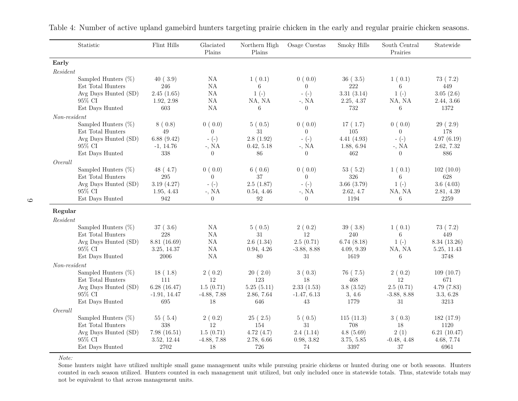|                | Statistic                                   | Flint Hills                 | Glaciated<br>Plains      | Northern High<br>Plains | Osage Cuestas              | Smoky Hills              | South Central<br>Prairies | Statewide                  |
|----------------|---------------------------------------------|-----------------------------|--------------------------|-------------------------|----------------------------|--------------------------|---------------------------|----------------------------|
| Early          |                                             |                             |                          |                         |                            |                          |                           |                            |
| Resident       |                                             |                             |                          |                         |                            |                          |                           |                            |
|                | Sampled Hunters $(\%)$                      | 40(3.9)                     | <b>NA</b>                | 1(0.1)                  | 0(0.0)                     | 36(3.5)                  | 1(0.1)                    | 73(7.2)                    |
|                | Est Total Hunters                           | 246                         | NA                       | 6                       | $\Omega$                   | 222                      | 6                         | 449                        |
|                | Avg Days Hunted (SD)                        | 2.45(1.65)                  | <b>NA</b>                | $1(-)$                  | $-(-)$                     | 3.31(3.14)               | $1(-)$                    | 3.05(2.6)                  |
|                | 95% CI                                      | 1.92, 2.98                  | NA                       | NA, NA                  | $-$ , NA                   | 2.25, 4.37               | NA, NA                    | 2.44, 3.66                 |
|                | Est Days Hunted                             | 603                         | NA                       | 6                       | $\theta$                   | 732                      | 6                         | 1372                       |
| $Non-resident$ |                                             |                             |                          |                         |                            |                          |                           |                            |
|                | Sampled Hunters $(\%)$<br>Est Total Hunters | 8(0.8)<br>$49\,$            | 0(0.0)<br>$\overline{0}$ | 5(0.5)<br>$31\,$        | 0(0.0)<br>$\overline{0}$   | 17(1.7)<br>105           | 0(0.0)<br>$\Omega$        | 29(2.9)<br>178             |
|                | Avg Days Hunted (SD)                        | 6.88(9.42)                  | $-(-)$                   | 2.8(1.92)               | $-(-)$                     | 4.41(4.93)               | $-(-)$                    | 4.97(6.19)                 |
|                | 95% CI                                      | $-1, 14.76$                 | $-$ , NA                 | 0.42, 5.18              | $-$ , NA                   | 1.88, 6.94               | $-$ , NA                  | 2.62, 7.32                 |
|                | Est Days Hunted                             | 338                         | $\overline{0}$           | 86                      | $\Omega$                   | 462                      | $\overline{0}$            | 886                        |
| Overall        |                                             |                             |                          |                         |                            |                          |                           |                            |
|                | Sampled Hunters $(\%)$                      | 48(4.7)                     | 0(0.0)                   | 6(0.6)                  | 0(0.0)                     | 53(5.2)                  | 1(0.1)                    | 102(10.0)                  |
|                | Est Total Hunters                           | 295                         | $\overline{0}$           | 37                      | $\overline{0}$             | 326                      | 6                         | 628                        |
|                | Avg Days Hunted (SD)                        | 3.19(4.27)                  | $-(-)$                   | 2.5(1.87)               | $-(-)$                     | 3.66(3.79)               | $1(-)$                    | 3.6(4.03)                  |
|                | 95% CI                                      | 1.95, 4.43                  | $-$ , NA                 | 0.54, 4.46              | $-$ , NA                   | 2.62, 4.7                | NA, NA                    | 2.81, 4.39                 |
|                | Est Days Hunted                             | 942                         | $\overline{0}$           | 92                      | $\theta$                   | 1194                     | 6                         | $2259\,$                   |
| Regular        |                                             |                             |                          |                         |                            |                          |                           |                            |
| Resident       |                                             |                             |                          |                         |                            |                          |                           |                            |
|                | Sampled Hunters $(\%)$                      | 37(3.6)                     | <b>NA</b>                | 5(0.5)                  | 2(0.2)                     | 39(3.8)                  | 1(0.1)                    | 73 (7.2)                   |
|                | Est Total Hunters                           | 228                         | NA                       | $31\,$                  | 12                         | 240                      | 6                         | 449                        |
|                | Avg Days Hunted (SD)<br>95% CI              | 8.81 (16.69)<br>3.25, 14.37 | <b>NA</b><br>NA          | 2.6(1.34)<br>0.94, 4.26 | 2.5(0.71)<br>$-3.88, 8.88$ | 6.74(8.18)<br>4.09, 9.39 | $1(-)$<br>NA, NA          | 8.34(13.26)<br>5.25, 11.43 |
|                | Est Days Hunted                             | 2006                        | NA                       | 80                      | $31\,$                     | 1619                     | 6                         | 3748                       |
| $Non-resident$ |                                             |                             |                          |                         |                            |                          |                           |                            |
|                | Sampled Hunters $(\%)$                      | 18(1.8)                     | 2(0.2)                   | 20(2.0)                 | 3(0.3)                     | 76(7.5)                  | 2(0.2)                    | 109(10.7)                  |
|                | Est Total Hunters                           | 111                         | 12                       | 123                     | 18                         | 468                      | 12                        | 671                        |
|                | Avg Days Hunted (SD)                        | 6.28(16.47)                 | 1.5(0.71)                | 5.25(5.11)              | 2.33(1.53)                 | 3.8(3.52)                | 2.5(0.71)                 | 4.79(7.83)                 |
|                | 95% CI                                      | $-1.91, 14.47$              | $-4.88, 7.88$            | 2.86, 7.64              | $-1.47, 6.13$              | 3, 4.6                   | $-3.88, 8.88$             | 3.3, 6.28                  |
|                | Est Days Hunted                             | 695                         | 18                       | 646                     | 43                         | 1779                     | 31                        | 3213                       |
| Overall        |                                             |                             |                          |                         |                            |                          |                           |                            |
|                | Sampled Hunters $(\%)$                      | 55(5.4)                     | 2(0.2)                   | 25(2.5)                 | 5(0.5)                     | 115(11.3)                | 3(0.3)                    | 182(17.9)                  |
|                | Est Total Hunters                           | 338                         | 12                       | 154                     | 31                         | 708                      | 18                        | 1120                       |
|                | Avg Days Hunted (SD)                        | 7.98(16.51)                 | 1.5(0.71)                | 4.72(4.7)               | 2.4(1.14)                  | 4.8(5.69)                | 2(1)                      | 6.21(10.47)                |
|                | 95% CI<br>Est Days Hunted                   | 3.52, 12.44<br>2702         | $-4.88, 7.88$<br>18      | 2.78, 6.66<br>726       | 0.98, 3.82<br>74           | 3.75, 5.85<br>3397       | $-0.48, 4.48$<br>37       | 4.68, 7.74<br>6961         |
|                |                                             |                             |                          |                         |                            |                          |                           |                            |

Table 4: Number of active upland gamebird hunters targeting prairie chicken in the early and regular prairie chicken seasons.

*Note:*

 Some hunters might have utilized multiple small game management units while pursuing prairie chickens or hunted during one or both seasons. Hunters counted in each season utilized. Hunters counted in each management unit utilized, but only included once in statewide totals. Thus, statewide totals maynot be equivalent to that across management units.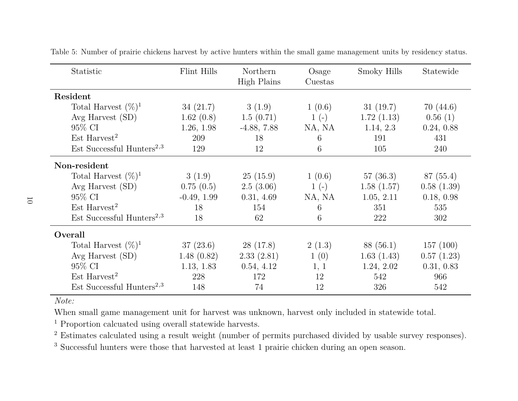| Statistic                             | Flint Hills   | Northern<br>High Plains | Osage<br>Cuestas | Smoky Hills | Statewide  |
|---------------------------------------|---------------|-------------------------|------------------|-------------|------------|
| Resident                              |               |                         |                  |             |            |
| Total Harvest $(\%)^1$                | 34(21.7)      | 3(1.9)                  | 1(0.6)           | 31(19.7)    | 70(44.6)   |
| Avg Harvest $(SD)$                    | 1.62(0.8)     | 1.5(0.71)               | $1(-)$           | 1.72(1.13)  | 0.56(1)    |
| 95\% CI                               | 1.26, 1.98    | $-4.88, 7.88$           | NA, NA           | 1.14, 2.3   | 0.24, 0.88 |
| $Est$ Harvest <sup>2</sup>            | 209           | 18                      | 6                | 191         | 431        |
| Est Successful Hunters <sup>2,3</sup> | 129           | 12                      | 6                | 105         | 240        |
| Non-resident                          |               |                         |                  |             |            |
| Total Harvest $(\%)^1$                | 3(1.9)        | 25(15.9)                | 1(0.6)           | 57(36.3)    | 87 (55.4)  |
| Avg Harvest $(SD)$                    | 0.75(0.5)     | 2.5(3.06)               | $1(-)$           | 1.58(1.57)  | 0.58(1.39) |
| 95\% CI                               | $-0.49, 1.99$ | 0.31, 4.69              | NA, NA           | 1.05, 2.11  | 0.18, 0.98 |
| $Est$ Harvest <sup>2</sup>            | 18            | 154                     | 6                | 351         | 535        |
| Est Successful Hunters <sup>2,3</sup> | 18            | 62                      | 6                | 222         | 302        |
| Overall                               |               |                         |                  |             |            |
| Total Harvest $(\%)^1$                | 37(23.6)      | 28 (17.8)               | 2(1.3)           | 88 (56.1)   | 157(100)   |
| Avg Harvest $(SD)$                    | 1.48(0.82)    | 2.33(2.81)              | 1(0)             | 1.63(1.43)  | 0.57(1.23) |
| 95\% CI                               | 1.13, 1.83    | 0.54, 4.12              | 1, 1             | 1.24, 2.02  | 0.31, 0.83 |
| $Est$ Harvest <sup>2</sup>            | 228           | 172                     | 12               | 542         | 966        |
| Est Successful Hunters <sup>2,3</sup> | 148           | 74                      | 12               | 326         | 542        |

Table 5: Number of prairie chickens harvest by active hunters within the small game management units by residency status.

When small game management unit for harvest was unknown, harvest only included in statewide total.

<sup>1</sup> Proportion calcuated using overall statewide harvests.

<sup>2</sup> Estimates calculated using a result weight (number of permits purchased divided by usable survey responses).

<sup>3</sup> Successful hunters were those that harvested at least 1 prairie chicken during an open season.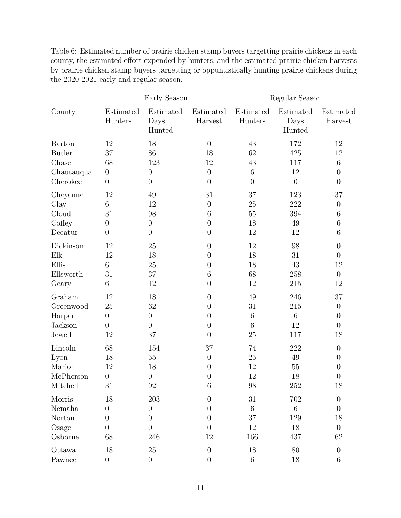|               |                      | Early Season                |                      | Regular Season       |                             |                      |  |
|---------------|----------------------|-----------------------------|----------------------|----------------------|-----------------------------|----------------------|--|
| County        | Estimated<br>Hunters | Estimated<br>Days<br>Hunted | Estimated<br>Harvest | Estimated<br>Hunters | Estimated<br>Days<br>Hunted | Estimated<br>Harvest |  |
| <b>Barton</b> | 12                   | 18                          | $\overline{0}$       | 43                   | 172                         | 12                   |  |
| <b>Butler</b> | 37                   | 86                          | 18                   | 62                   | 425                         | 12                   |  |
| Chase         | 68                   | 123                         | 12                   | 43                   | 117                         | $\,6\,$              |  |
| Chautauqua    | $\boldsymbol{0}$     | $\theta$                    | $\boldsymbol{0}$     | $\,6\,$              | 12                          | $\boldsymbol{0}$     |  |
| Cherokee      | $\overline{0}$       | $\overline{0}$              | $\overline{0}$       | $\overline{0}$       | $\overline{0}$              | $\overline{0}$       |  |
| Cheyenne      | 12                   | 49                          | 31                   | 37                   | 123                         | 37                   |  |
| Clay          | $\sqrt{6}$           | 12                          | $\theta$             | 25                   | 222                         | $\boldsymbol{0}$     |  |
| Cloud         | 31                   | 98                          | 6                    | 55                   | 394                         | $\,6\,$              |  |
| Coffey        | $\boldsymbol{0}$     | $\boldsymbol{0}$            | $\boldsymbol{0}$     | 18                   | 49                          | $\,6$                |  |
| Decatur       | $\overline{0}$       | $\overline{0}$              | $\overline{0}$       | 12                   | 12                          | $\,$ 6 $\,$          |  |
| Dickinson     | 12                   | 25                          | $\overline{0}$       | 12                   | 98                          | $\boldsymbol{0}$     |  |
| Elk           | 12                   | 18                          | $\boldsymbol{0}$     | 18                   | 31                          | $\boldsymbol{0}$     |  |
| Ellis         | 6                    | 25                          | $\overline{0}$       | 18                   | 43                          | 12                   |  |
| Ellsworth     | 31                   | 37                          | 6                    | 68                   | 258                         | $\theta$             |  |
| Geary         | 6                    | 12                          | $\overline{0}$       | 12                   | 215                         | 12                   |  |
| Graham        | 12                   | 18                          | $\overline{0}$       | 49                   | 246                         | 37                   |  |
| Greenwood     | 25                   | 62                          | $\overline{0}$       | 31                   | 215                         | $\boldsymbol{0}$     |  |
| Harper        | $\boldsymbol{0}$     | $\theta$                    | $\overline{0}$       | $\,6\,$              | 6                           | $\overline{0}$       |  |
| Jackson       | $\overline{0}$       | $\boldsymbol{0}$            | $\overline{0}$       | 6                    | 12                          | $\boldsymbol{0}$     |  |
| Jewell        | 12                   | 37                          | $\overline{0}$       | 25                   | 117                         | 18                   |  |
| Lincoln       | 68                   | 154                         | 37                   | 74                   | 222                         | $\overline{0}$       |  |
| Lyon          | 18                   | $55\,$                      | $\theta$             | 25                   | 49                          | $\overline{0}$       |  |
| Marion        | 12                   | 18                          | $\left( \right)$     | 12                   | 55                          | $\boldsymbol{0}$     |  |
| McPherson     | $\overline{0}$       | $\theta$                    | 0                    | 12                   | 18                          | $\boldsymbol{0}$     |  |
| Mitchell      | $31\,$               | $92\,$                      | $\,6$                | $98\,$               | $252\,$                     | 18                   |  |
| Morris        | 18                   | 203                         | $\overline{0}$       | 31                   | 702                         | $\boldsymbol{0}$     |  |
| Nemaha        | $\boldsymbol{0}$     | $\boldsymbol{0}$            | $\overline{0}$       | $\,6\,$              | $6\,$                       | $\boldsymbol{0}$     |  |
| Norton        | $\boldsymbol{0}$     | $\overline{0}$              | $\overline{0}$       | 37                   | 129                         | 18                   |  |
| Osage         | $\overline{0}$       | $\overline{0}$              | $\overline{0}$       | 12                   | 18                          | $\boldsymbol{0}$     |  |
| Osborne       | 68                   | 246                         | 12                   | 166                  | 437                         | 62                   |  |
| Ottawa        | 18                   | 25                          | $\theta$             | 18                   | 80                          | $\theta$             |  |
| Pawnee        | $\overline{0}$       | $\boldsymbol{0}$            | $\boldsymbol{0}$     | $6\phantom{.}6$      | 18                          | $\,6$                |  |

Table 6: Estimated number of prairie chicken stamp buyers targetting prairie chickens in each county, the estimated effort expended by hunters, and the estimated prairie chicken harvests by prairie chicken stamp buyers targetting or oppuntistically hunting prairie chickens during the 2020-2021 early and regular season.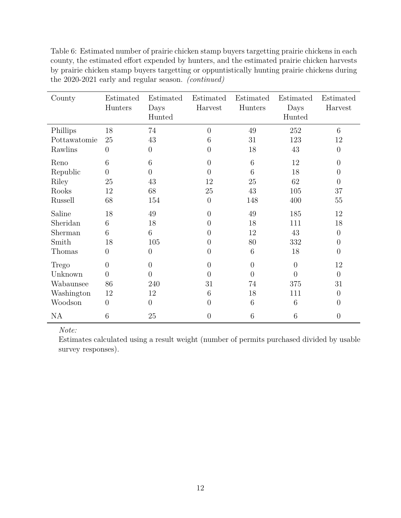| County       | Estimated<br>Hunters | Estimated<br>Days<br>Hunted | Estimated<br>Harvest | Estimated<br>Hunters | Estimated<br>Days<br>Hunted | Estimated<br>Harvest |
|--------------|----------------------|-----------------------------|----------------------|----------------------|-----------------------------|----------------------|
| Phillips     | 18                   | 74                          | $\overline{0}$       | 49                   | 252                         | 6                    |
| Pottawatomie | 25                   | 43                          | 6                    | 31                   | 123                         | 12                   |
| Rawlins      | $\overline{0}$       | $\theta$                    | $\overline{0}$       | 18                   | 43                          | $\overline{0}$       |
| Reno         | 6                    | 6                           | $\overline{0}$       | 6                    | 12                          | $\overline{0}$       |
| Republic     | $\overline{0}$       | $\overline{0}$              | $\theta$             | 6                    | 18                          | $\Omega$             |
| Riley        | 25                   | 43                          | 12                   | 25                   | 62                          | $\overline{0}$       |
| Rooks        | 12                   | 68                          | 25                   | 43                   | 105                         | 37                   |
| Russell      | 68                   | 154                         | $\theta$             | 148                  | 400                         | 55                   |
| Saline       | 18                   | 49                          | $\theta$             | 49                   | 185                         | 12                   |
| Sheridan     | 6                    | 18                          | $\overline{0}$       | 18                   | 111                         | 18                   |
| Sherman      | 6                    | 6                           | $\overline{0}$       | 12                   | 43                          | $\overline{0}$       |
| Smith        | 18                   | 105                         | $\overline{0}$       | 80                   | 332                         | $\overline{0}$       |
| Thomas       | $\overline{0}$       | $\theta$                    | $\overline{0}$       | 6                    | 18                          | $\overline{0}$       |
| Trego        | $\overline{0}$       | $\overline{0}$              | $\overline{0}$       | $\overline{0}$       | $\overline{0}$              | 12                   |
| Unknown      | $\overline{0}$       | $\overline{0}$              | $\overline{0}$       | $\theta$             | $\overline{0}$              | $\theta$             |
| Wabaunsee    | 86                   | 240                         | 31                   | 74                   | 375                         | 31                   |
| Washington   | 12                   | 12                          | 6                    | 18                   | 111                         | $\theta$             |
| Woodson      | $\overline{0}$       | $\overline{0}$              | $\overline{0}$       | 6                    | 6                           | $\Omega$             |
| <b>NA</b>    | 6                    | 25                          | $\overline{0}$       | 6                    | 6                           | $\overline{0}$       |

Table 6: Estimated number of prairie chicken stamp buyers targetting prairie chickens in each county, the estimated effort expended by hunters, and the estimated prairie chicken harvests by prairie chicken stamp buyers targetting or oppuntistically hunting prairie chickens during the 2020-2021 early and regular season. *(continued)*

Estimates calculated using a result weight (number of permits purchased divided by usable survey responses).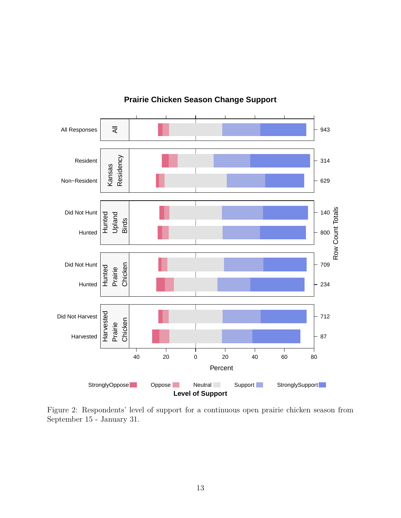

#### **Prairie Chicken Season Change Support**

Figure 2: Respondents' level of support for a continuous open prairie chicken season from September 15 - January 31.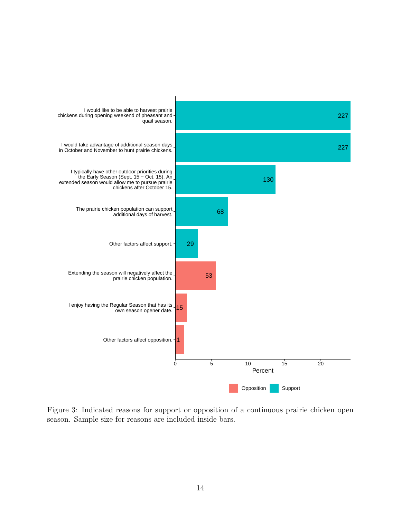

Figure 3: Indicated reasons for support or opposition of a continuous prairie chicken open season. Sample size for reasons are included inside bars.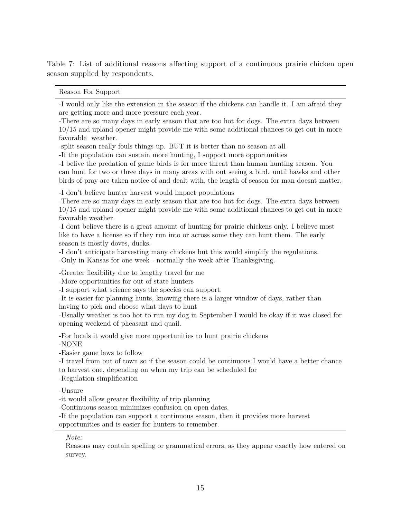Table 7: List of additional reasons affecting support of a continuous prairie chicken open season supplied by respondents.

Reason For Support

-I would only like the extension in the season if the chickens can handle it. I am afraid they are getting more and more pressure each year.

-There are so many days in early season that are too hot for dogs. The extra days between 10/15 and upland opener might provide me with some additional chances to get out in more favorable weather.

-split season really fouls things up. BUT it is better than no season at all

-If the population can sustain more hunting, I support more opportunities

-I belive the predation of game birds is for more threat than human hunting season. You can hunt for two or three days in many areas with out seeing a bird. until hawks and other birds of pray are taken notice of and dealt with, the length of season for man doesnt matter.

-I don't believe hunter harvest would impact populations

-There are so many days in early season that are too hot for dogs. The extra days between 10/15 and upland opener might provide me with some additional chances to get out in more favorable weather.

-I dont believe there is a great amount of hunting for prairie chickens only. I believe most like to have a license so if they run into or across some they can hunt them. The early season is mostly doves, ducks.

-I don't anticipate harvesting many chickens but this would simplify the regulations.

-Only in Kansas for one week - normally the week after Thanksgiving.

-Greater flexibility due to lengthy travel for me

-More opportunities for out of state hunters

-I support what science says the species can support.

-It is easier for planning hunts, knowing there is a larger window of days, rather than having to pick and choose what days to hunt

-Usually weather is too hot to run my dog in September I would be okay if it was closed for opening weekend of pheasant and quail.

-For locals it would give more opportunities to hunt prairie chickens

-NONE

-Easier game laws to follow

-I travel from out of town so if the season could be continuous I would have a better chance to harvest one, depending on when my trip can be scheduled for

-Regulation simplification

-Unsure

-it would allow greater flexibility of trip planning

-Continuous season minimizes confusion on open dates.

-If the population can support a continuous season, then it provides more harvest

opportunities and is easier for hunters to remember.

*Note:*

Reasons may contain spelling or grammatical errors, as they appear exactly how entered on survey.